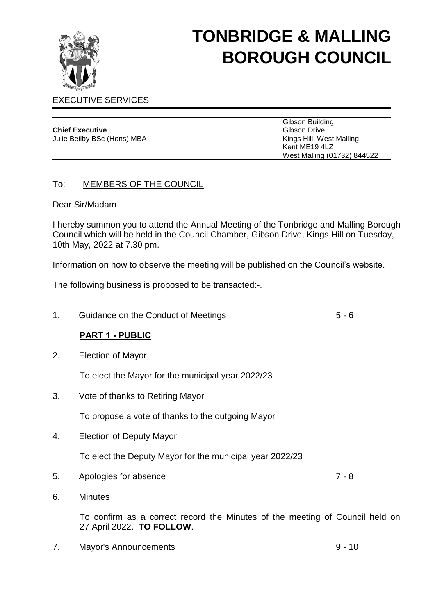

# **TONBRIDGE & MALLING BOROUGH COUNCIL**

# EXECUTIVE SERVICES

| <b>Chief Executive</b>      |
|-----------------------------|
| Julie Beilby BSc (Hons) MBA |

Gibson Building Gibson Drive Kings Hill, West Malling Kent ME19 4LZ West Malling (01732) 844522

## To: MEMBERS OF THE COUNCIL

#### Dear Sir/Madam

I hereby summon you to attend the Annual Meeting of the Tonbridge and Malling Borough Council which will be held in the Council Chamber, Gibson Drive, Kings Hill on Tuesday, 10th May, 2022 at 7.30 pm.

Information on how to observe the meeting will be published on the Council's website.

The following business is proposed to be transacted:-.

1. Guidance on the Conduct of Meetings 6 - 6

# **PART 1 - PUBLIC**

2. Election of Mayor

To elect the Mayor for the municipal year 2022/23

3. Vote of thanks to Retiring Mayor

To propose a vote of thanks to the outgoing Mayor

4. Election of Deputy Mayor

To elect the Deputy Mayor for the municipal year 2022/23

5. Apologies for absence 7 - 8

6. Minutes

To confirm as a correct record the Minutes of the meeting of Council held on 27 April 2022. **TO FOLLOW**.

7. Mayor's Announcements 9 - 10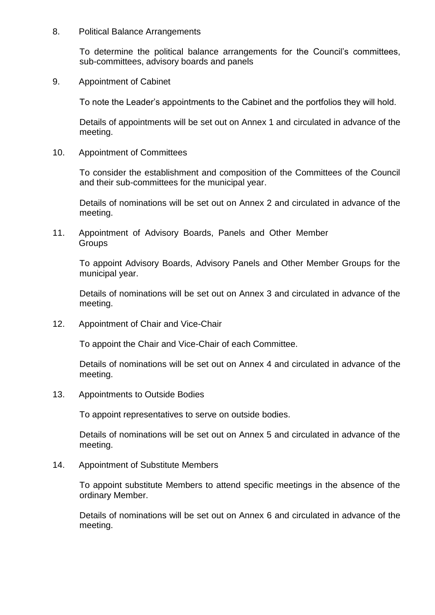8. Political Balance Arrangements

To determine the political balance arrangements for the Council's committees, sub-committees, advisory boards and panels

9. Appointment of Cabinet

To note the Leader's appointments to the Cabinet and the portfolios they will hold.

Details of appointments will be set out on Annex 1 and circulated in advance of the meeting.

10. Appointment of Committees

To consider the establishment and composition of the Committees of the Council and their sub-committees for the municipal year.

Details of nominations will be set out on Annex 2 and circulated in advance of the meeting.

11. Appointment of Advisory Boards, Panels and Other Member **Groups** 

To appoint Advisory Boards, Advisory Panels and Other Member Groups for the municipal year.

Details of nominations will be set out on Annex 3 and circulated in advance of the meeting.

12. Appointment of Chair and Vice-Chair

To appoint the Chair and Vice-Chair of each Committee.

Details of nominations will be set out on Annex 4 and circulated in advance of the meeting.

13. Appointments to Outside Bodies

To appoint representatives to serve on outside bodies.

Details of nominations will be set out on Annex 5 and circulated in advance of the meeting.

14. Appointment of Substitute Members

To appoint substitute Members to attend specific meetings in the absence of the ordinary Member.

Details of nominations will be set out on Annex 6 and circulated in advance of the meeting.